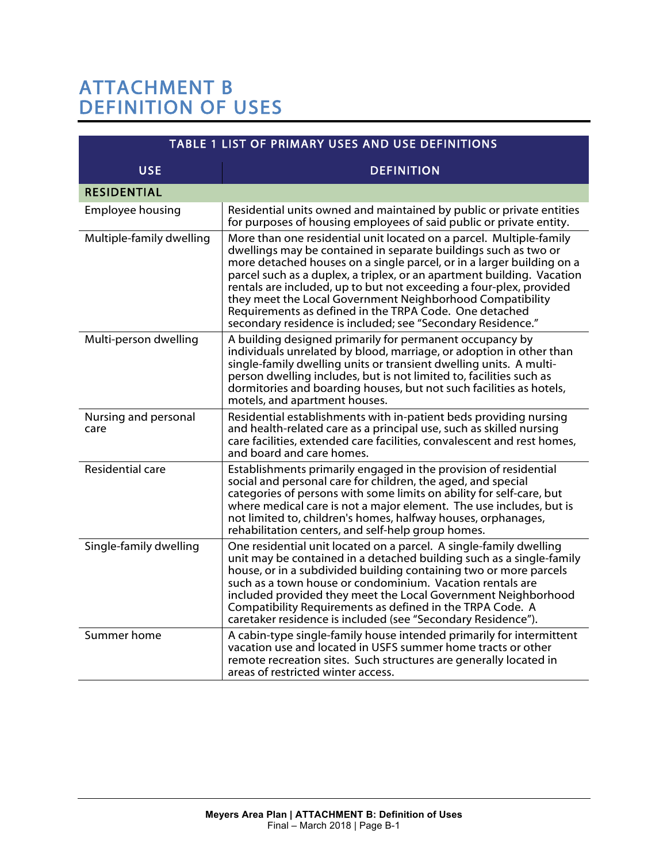## ATTACHMENT B DEFINITION OF USES

| TABLE 1 LIST OF PRIMARY USES AND USE DEFINITIONS |                                                                                                                                                                                                                                                                                                                                                                                                                                                                                                                                                        |
|--------------------------------------------------|--------------------------------------------------------------------------------------------------------------------------------------------------------------------------------------------------------------------------------------------------------------------------------------------------------------------------------------------------------------------------------------------------------------------------------------------------------------------------------------------------------------------------------------------------------|
| <b>USE</b>                                       | <b>DEFINITION</b>                                                                                                                                                                                                                                                                                                                                                                                                                                                                                                                                      |
| <b>RESIDENTIAL</b>                               |                                                                                                                                                                                                                                                                                                                                                                                                                                                                                                                                                        |
| Employee housing                                 | Residential units owned and maintained by public or private entities<br>for purposes of housing employees of said public or private entity.                                                                                                                                                                                                                                                                                                                                                                                                            |
| Multiple-family dwelling                         | More than one residential unit located on a parcel. Multiple-family<br>dwellings may be contained in separate buildings such as two or<br>more detached houses on a single parcel, or in a larger building on a<br>parcel such as a duplex, a triplex, or an apartment building. Vacation<br>rentals are included, up to but not exceeding a four-plex, provided<br>they meet the Local Government Neighborhood Compatibility<br>Requirements as defined in the TRPA Code. One detached<br>secondary residence is included; see "Secondary Residence." |
| Multi-person dwelling                            | A building designed primarily for permanent occupancy by<br>individuals unrelated by blood, marriage, or adoption in other than<br>single-family dwelling units or transient dwelling units. A multi-<br>person dwelling includes, but is not limited to, facilities such as<br>dormitories and boarding houses, but not such facilities as hotels,<br>motels, and apartment houses.                                                                                                                                                                   |
| Nursing and personal<br>care                     | Residential establishments with in-patient beds providing nursing<br>and health-related care as a principal use, such as skilled nursing<br>care facilities, extended care facilities, convalescent and rest homes,<br>and board and care homes.                                                                                                                                                                                                                                                                                                       |
| <b>Residential care</b>                          | Establishments primarily engaged in the provision of residential<br>social and personal care for children, the aged, and special<br>categories of persons with some limits on ability for self-care, but<br>where medical care is not a major element. The use includes, but is<br>not limited to, children's homes, halfway houses, orphanages,<br>rehabilitation centers, and self-help group homes.                                                                                                                                                 |
| Single-family dwelling                           | One residential unit located on a parcel. A single-family dwelling<br>unit may be contained in a detached building such as a single-family<br>house, or in a subdivided building containing two or more parcels<br>such as a town house or condominium. Vacation rentals are<br>included provided they meet the Local Government Neighborhood<br>Compatibility Requirements as defined in the TRPA Code. A<br>caretaker residence is included (see "Secondary Residence").                                                                             |
| Summer home                                      | A cabin-type single-family house intended primarily for intermittent<br>vacation use and located in USFS summer home tracts or other<br>remote recreation sites. Such structures are generally located in<br>areas of restricted winter access.                                                                                                                                                                                                                                                                                                        |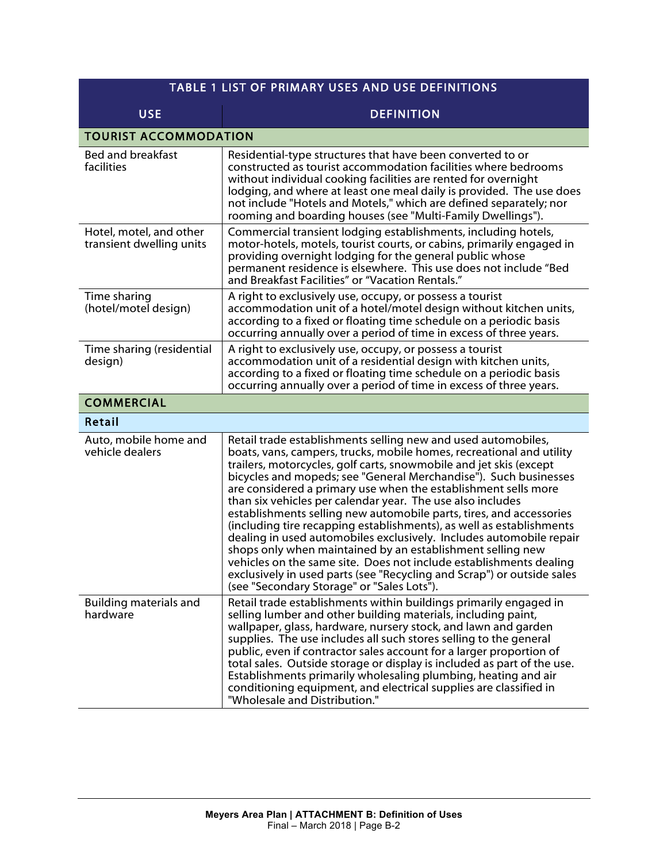| <b>TABLE 1 LIST OF PRIMARY USES AND USE DEFINITIONS</b> |                                                                                                                                                                                                                                                                                                                                                                                                                                                                                                                                                                                                                                                                                                                                                                                                                                                                                                   |
|---------------------------------------------------------|---------------------------------------------------------------------------------------------------------------------------------------------------------------------------------------------------------------------------------------------------------------------------------------------------------------------------------------------------------------------------------------------------------------------------------------------------------------------------------------------------------------------------------------------------------------------------------------------------------------------------------------------------------------------------------------------------------------------------------------------------------------------------------------------------------------------------------------------------------------------------------------------------|
| <b>USE</b>                                              | <b>DEFINITION</b>                                                                                                                                                                                                                                                                                                                                                                                                                                                                                                                                                                                                                                                                                                                                                                                                                                                                                 |
| <b>TOURIST ACCOMMODATION</b>                            |                                                                                                                                                                                                                                                                                                                                                                                                                                                                                                                                                                                                                                                                                                                                                                                                                                                                                                   |
| Bed and breakfast<br>facilities                         | Residential-type structures that have been converted to or<br>constructed as tourist accommodation facilities where bedrooms<br>without individual cooking facilities are rented for overnight<br>lodging, and where at least one meal daily is provided. The use does<br>not include "Hotels and Motels," which are defined separately; nor<br>rooming and boarding houses (see "Multi-Family Dwellings").                                                                                                                                                                                                                                                                                                                                                                                                                                                                                       |
| Hotel, motel, and other<br>transient dwelling units     | Commercial transient lodging establishments, including hotels,<br>motor-hotels, motels, tourist courts, or cabins, primarily engaged in<br>providing overnight lodging for the general public whose<br>permanent residence is elsewhere. This use does not include "Bed<br>and Breakfast Facilities" or "Vacation Rentals."                                                                                                                                                                                                                                                                                                                                                                                                                                                                                                                                                                       |
| Time sharing<br>(hotel/motel design)                    | A right to exclusively use, occupy, or possess a tourist<br>accommodation unit of a hotel/motel design without kitchen units,<br>according to a fixed or floating time schedule on a periodic basis<br>occurring annually over a period of time in excess of three years.                                                                                                                                                                                                                                                                                                                                                                                                                                                                                                                                                                                                                         |
| Time sharing (residential<br>design)                    | A right to exclusively use, occupy, or possess a tourist<br>accommodation unit of a residential design with kitchen units,<br>according to a fixed or floating time schedule on a periodic basis<br>occurring annually over a period of time in excess of three years.                                                                                                                                                                                                                                                                                                                                                                                                                                                                                                                                                                                                                            |
| <b>COMMERCIAL</b>                                       |                                                                                                                                                                                                                                                                                                                                                                                                                                                                                                                                                                                                                                                                                                                                                                                                                                                                                                   |
| Retail                                                  |                                                                                                                                                                                                                                                                                                                                                                                                                                                                                                                                                                                                                                                                                                                                                                                                                                                                                                   |
| Auto, mobile home and<br>vehicle dealers                | Retail trade establishments selling new and used automobiles,<br>boats, vans, campers, trucks, mobile homes, recreational and utility<br>trailers, motorcycles, golf carts, snowmobile and jet skis (except<br>bicycles and mopeds; see "General Merchandise"). Such businesses<br>are considered a primary use when the establishment sells more<br>than six vehicles per calendar year. The use also includes<br>establishments selling new automobile parts, tires, and accessories<br>(including tire recapping establishments), as well as establishments<br>dealing in used automobiles exclusively. Includes automobile repair<br>shops only when maintained by an establishment selling new<br>vehicles on the same site. Does not include establishments dealing<br>exclusively in used parts (see "Recycling and Scrap") or outside sales<br>(see "Secondary Storage" or "Sales Lots"). |
| <b>Building materials and</b><br>hardware               | Retail trade establishments within buildings primarily engaged in<br>selling lumber and other building materials, including paint,<br>wallpaper, glass, hardware, nursery stock, and lawn and garden<br>supplies. The use includes all such stores selling to the general<br>public, even if contractor sales account for a larger proportion of<br>total sales. Outside storage or display is included as part of the use.<br>Establishments primarily wholesaling plumbing, heating and air<br>conditioning equipment, and electrical supplies are classified in<br>"Wholesale and Distribution."                                                                                                                                                                                                                                                                                               |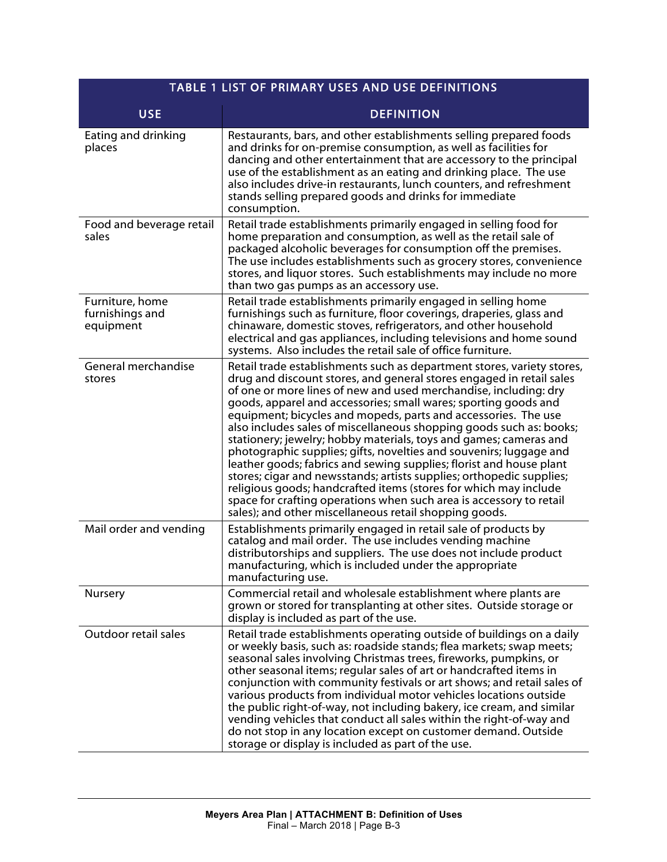| <b>TABLE 1 LIST OF PRIMARY USES AND USE DEFINITIONS</b> |                                                                                                                                                                                                                                                                                                                                                                                                                                                                                                                                                                                                                                                                                                                                                                                                                                                                                                                               |
|---------------------------------------------------------|-------------------------------------------------------------------------------------------------------------------------------------------------------------------------------------------------------------------------------------------------------------------------------------------------------------------------------------------------------------------------------------------------------------------------------------------------------------------------------------------------------------------------------------------------------------------------------------------------------------------------------------------------------------------------------------------------------------------------------------------------------------------------------------------------------------------------------------------------------------------------------------------------------------------------------|
| <b>USE</b>                                              | <b>DEFINITION</b>                                                                                                                                                                                                                                                                                                                                                                                                                                                                                                                                                                                                                                                                                                                                                                                                                                                                                                             |
| Eating and drinking<br>places                           | Restaurants, bars, and other establishments selling prepared foods<br>and drinks for on-premise consumption, as well as facilities for<br>dancing and other entertainment that are accessory to the principal<br>use of the establishment as an eating and drinking place. The use<br>also includes drive-in restaurants, lunch counters, and refreshment<br>stands selling prepared goods and drinks for immediate<br>consumption.                                                                                                                                                                                                                                                                                                                                                                                                                                                                                           |
| Food and beverage retail<br>sales                       | Retail trade establishments primarily engaged in selling food for<br>home preparation and consumption, as well as the retail sale of<br>packaged alcoholic beverages for consumption off the premises.<br>The use includes establishments such as grocery stores, convenience<br>stores, and liquor stores. Such establishments may include no more<br>than two gas pumps as an accessory use.                                                                                                                                                                                                                                                                                                                                                                                                                                                                                                                                |
| Furniture, home<br>furnishings and<br>equipment         | Retail trade establishments primarily engaged in selling home<br>furnishings such as furniture, floor coverings, draperies, glass and<br>chinaware, domestic stoves, refrigerators, and other household<br>electrical and gas appliances, including televisions and home sound<br>systems. Also includes the retail sale of office furniture.                                                                                                                                                                                                                                                                                                                                                                                                                                                                                                                                                                                 |
| General merchandise<br>stores                           | Retail trade establishments such as department stores, variety stores,<br>drug and discount stores, and general stores engaged in retail sales<br>of one or more lines of new and used merchandise, including: dry<br>goods, apparel and accessories; small wares; sporting goods and<br>equipment; bicycles and mopeds, parts and accessories. The use<br>also includes sales of miscellaneous shopping goods such as: books;<br>stationery; jewelry; hobby materials, toys and games; cameras and<br>photographic supplies; gifts, novelties and souvenirs; luggage and<br>leather goods; fabrics and sewing supplies; florist and house plant<br>stores; cigar and newsstands; artists supplies; orthopedic supplies;<br>religious goods; handcrafted items (stores for which may include<br>space for crafting operations when such area is accessory to retail<br>sales); and other miscellaneous retail shopping goods. |
| Mail order and vending                                  | Establishments primarily engaged in retail sale of products by<br>catalog and mail order. The use includes vending machine<br>distributorships and suppliers. The use does not include product<br>manufacturing, which is included under the appropriate<br>manufacturing use.                                                                                                                                                                                                                                                                                                                                                                                                                                                                                                                                                                                                                                                |
| Nursery                                                 | Commercial retail and wholesale establishment where plants are<br>grown or stored for transplanting at other sites. Outside storage or<br>display is included as part of the use.                                                                                                                                                                                                                                                                                                                                                                                                                                                                                                                                                                                                                                                                                                                                             |
| Outdoor retail sales                                    | Retail trade establishments operating outside of buildings on a daily<br>or weekly basis, such as: roadside stands; flea markets; swap meets;<br>seasonal sales involving Christmas trees, fireworks, pumpkins, or<br>other seasonal items; regular sales of art or handcrafted items in<br>conjunction with community festivals or art shows; and retail sales of<br>various products from individual motor vehicles locations outside<br>the public right-of-way, not including bakery, ice cream, and similar<br>vending vehicles that conduct all sales within the right-of-way and<br>do not stop in any location except on customer demand. Outside<br>storage or display is included as part of the use.                                                                                                                                                                                                               |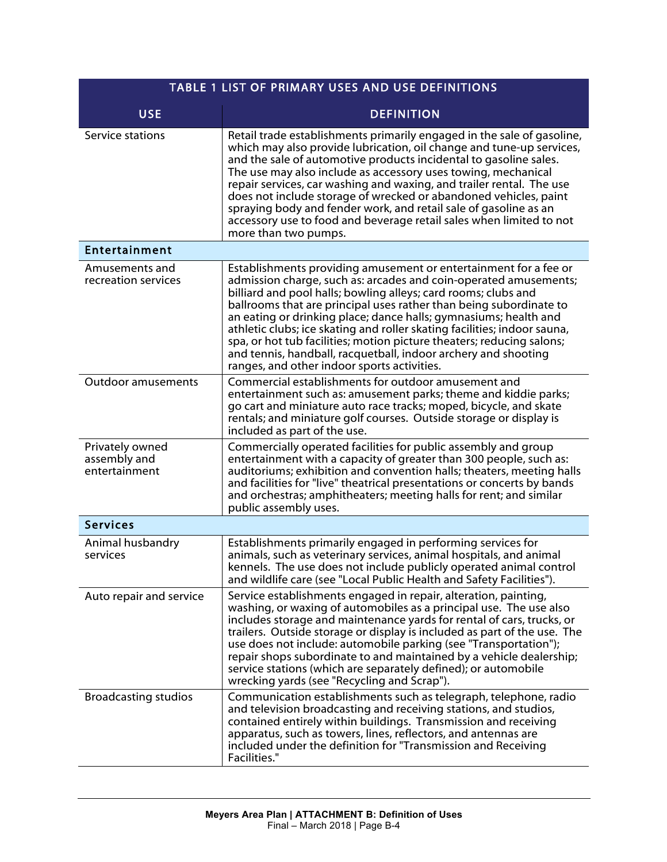| TABLE 1 LIST OF PRIMARY USES AND USE DEFINITIONS |                                                                                                                                                                                                                                                                                                                                                                                                                                                                                                                                                                                                                        |
|--------------------------------------------------|------------------------------------------------------------------------------------------------------------------------------------------------------------------------------------------------------------------------------------------------------------------------------------------------------------------------------------------------------------------------------------------------------------------------------------------------------------------------------------------------------------------------------------------------------------------------------------------------------------------------|
| <b>USE</b>                                       | <b>DEFINITION</b>                                                                                                                                                                                                                                                                                                                                                                                                                                                                                                                                                                                                      |
| Service stations                                 | Retail trade establishments primarily engaged in the sale of gasoline,<br>which may also provide lubrication, oil change and tune-up services,<br>and the sale of automotive products incidental to gasoline sales.<br>The use may also include as accessory uses towing, mechanical<br>repair services, car washing and waxing, and trailer rental. The use<br>does not include storage of wrecked or abandoned vehicles, paint<br>spraying body and fender work, and retail sale of gasoline as an<br>accessory use to food and beverage retail sales when limited to not<br>more than two pumps.                    |
| Entertainment                                    |                                                                                                                                                                                                                                                                                                                                                                                                                                                                                                                                                                                                                        |
| Amusements and<br>recreation services            | Establishments providing amusement or entertainment for a fee or<br>admission charge, such as: arcades and coin-operated amusements;<br>billiard and pool halls; bowling alleys; card rooms; clubs and<br>ballrooms that are principal uses rather than being subordinate to<br>an eating or drinking place; dance halls; gymnasiums; health and<br>athletic clubs; ice skating and roller skating facilities; indoor sauna,<br>spa, or hot tub facilities; motion picture theaters; reducing salons;<br>and tennis, handball, racquetball, indoor archery and shooting<br>ranges, and other indoor sports activities. |
| <b>Outdoor amusements</b>                        | Commercial establishments for outdoor amusement and<br>entertainment such as: amusement parks; theme and kiddie parks;<br>go cart and miniature auto race tracks; moped, bicycle, and skate<br>rentals; and miniature golf courses. Outside storage or display is<br>included as part of the use.                                                                                                                                                                                                                                                                                                                      |
| Privately owned<br>assembly and<br>entertainment | Commercially operated facilities for public assembly and group<br>entertainment with a capacity of greater than 300 people, such as:<br>auditoriums; exhibition and convention halls; theaters, meeting halls<br>and facilities for "live" theatrical presentations or concerts by bands<br>and orchestras; amphitheaters; meeting halls for rent; and similar<br>public assembly uses.                                                                                                                                                                                                                                |
| <b>Services</b>                                  |                                                                                                                                                                                                                                                                                                                                                                                                                                                                                                                                                                                                                        |
| Animal husbandry<br>services                     | Establishments primarily engaged in performing services for<br>animals, such as veterinary services, animal hospitals, and animal<br>kennels. The use does not include publicly operated animal control<br>and wildlife care (see "Local Public Health and Safety Facilities").                                                                                                                                                                                                                                                                                                                                        |
| Auto repair and service                          | Service establishments engaged in repair, alteration, painting,<br>washing, or waxing of automobiles as a principal use. The use also<br>includes storage and maintenance yards for rental of cars, trucks, or<br>trailers. Outside storage or display is included as part of the use. The<br>use does not include: automobile parking (see "Transportation");<br>repair shops subordinate to and maintained by a vehicle dealership;<br>service stations (which are separately defined); or automobile<br>wrecking yards (see "Recycling and Scrap").                                                                 |
| <b>Broadcasting studios</b>                      | Communication establishments such as telegraph, telephone, radio<br>and television broadcasting and receiving stations, and studios,<br>contained entirely within buildings. Transmission and receiving<br>apparatus, such as towers, lines, reflectors, and antennas are<br>included under the definition for "Transmission and Receiving<br>Facilities."                                                                                                                                                                                                                                                             |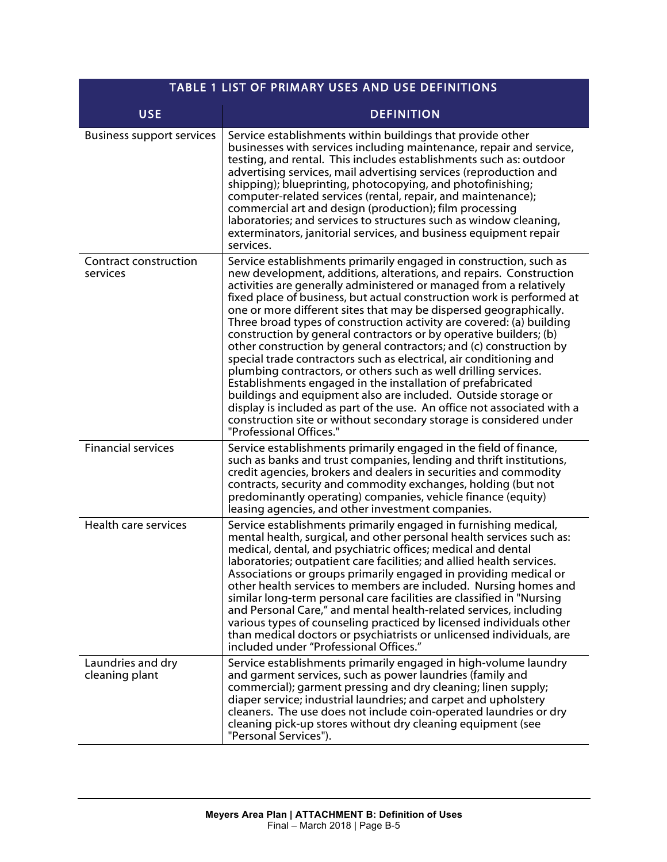| TABLE 1 LIST OF PRIMARY USES AND USE DEFINITIONS |                                                                                                                                                                                                                                                                                                                                                                                                                                                                                                                                                                                                                                                                                                                                                                                                                                                                                                                                                                                                                                     |
|--------------------------------------------------|-------------------------------------------------------------------------------------------------------------------------------------------------------------------------------------------------------------------------------------------------------------------------------------------------------------------------------------------------------------------------------------------------------------------------------------------------------------------------------------------------------------------------------------------------------------------------------------------------------------------------------------------------------------------------------------------------------------------------------------------------------------------------------------------------------------------------------------------------------------------------------------------------------------------------------------------------------------------------------------------------------------------------------------|
| <b>USE</b>                                       | <b>DEFINITION</b>                                                                                                                                                                                                                                                                                                                                                                                                                                                                                                                                                                                                                                                                                                                                                                                                                                                                                                                                                                                                                   |
| <b>Business support services</b>                 | Service establishments within buildings that provide other<br>businesses with services including maintenance, repair and service,<br>testing, and rental. This includes establishments such as: outdoor<br>advertising services, mail advertising services (reproduction and<br>shipping); blueprinting, photocopying, and photofinishing;<br>computer-related services (rental, repair, and maintenance);<br>commercial art and design (production); film processing<br>laboratories; and services to structures such as window cleaning,<br>exterminators, janitorial services, and business equipment repair<br>services.                                                                                                                                                                                                                                                                                                                                                                                                        |
| <b>Contract construction</b><br>services         | Service establishments primarily engaged in construction, such as<br>new development, additions, alterations, and repairs. Construction<br>activities are generally administered or managed from a relatively<br>fixed place of business, but actual construction work is performed at<br>one or more different sites that may be dispersed geographically.<br>Three broad types of construction activity are covered: (a) building<br>construction by general contractors or by operative builders; (b)<br>other construction by general contractors; and (c) construction by<br>special trade contractors such as electrical, air conditioning and<br>plumbing contractors, or others such as well drilling services.<br>Establishments engaged in the installation of prefabricated<br>buildings and equipment also are included. Outside storage or<br>display is included as part of the use. An office not associated with a<br>construction site or without secondary storage is considered under<br>"Professional Offices." |
| <b>Financial services</b>                        | Service establishments primarily engaged in the field of finance,<br>such as banks and trust companies, lending and thrift institutions,<br>credit agencies, brokers and dealers in securities and commodity<br>contracts, security and commodity exchanges, holding (but not<br>predominantly operating) companies, vehicle finance (equity)<br>leasing agencies, and other investment companies.                                                                                                                                                                                                                                                                                                                                                                                                                                                                                                                                                                                                                                  |
| <b>Health care services</b>                      | Service establishments primarily engaged in furnishing medical,<br>mental health, surgical, and other personal health services such as:<br>medical, dental, and psychiatric offices; medical and dental<br>laboratories; outpatient care facilities; and allied health services.<br>Associations or groups primarily engaged in providing medical or<br>other health services to members are included. Nursing homes and<br>similar long-term personal care facilities are classified in "Nursing<br>and Personal Care," and mental health-related services, including<br>various types of counseling practiced by licensed individuals other<br>than medical doctors or psychiatrists or unlicensed individuals, are<br>included under "Professional Offices."                                                                                                                                                                                                                                                                     |
| Laundries and dry<br>cleaning plant              | Service establishments primarily engaged in high-volume laundry<br>and garment services, such as power laundries (family and<br>commercial); garment pressing and dry cleaning; linen supply;<br>diaper service; industrial laundries; and carpet and upholstery<br>cleaners. The use does not include coin-operated laundries or dry<br>cleaning pick-up stores without dry cleaning equipment (see<br>"Personal Services").                                                                                                                                                                                                                                                                                                                                                                                                                                                                                                                                                                                                       |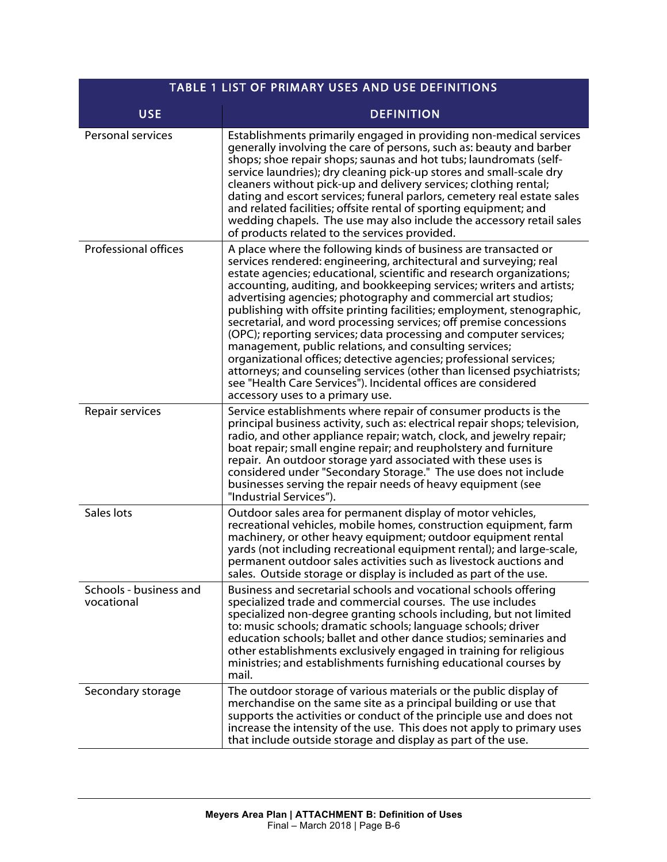| TABLE 1 LIST OF PRIMARY USES AND USE DEFINITIONS |                                                                                                                                                                                                                                                                                                                                                                                                                                                                                                                                                                                                                                                                                                                                                                                                                                                                                            |
|--------------------------------------------------|--------------------------------------------------------------------------------------------------------------------------------------------------------------------------------------------------------------------------------------------------------------------------------------------------------------------------------------------------------------------------------------------------------------------------------------------------------------------------------------------------------------------------------------------------------------------------------------------------------------------------------------------------------------------------------------------------------------------------------------------------------------------------------------------------------------------------------------------------------------------------------------------|
| <b>USE</b>                                       | <b>DEFINITION</b>                                                                                                                                                                                                                                                                                                                                                                                                                                                                                                                                                                                                                                                                                                                                                                                                                                                                          |
| Personal services                                | Establishments primarily engaged in providing non-medical services<br>generally involving the care of persons, such as: beauty and barber<br>shops; shoe repair shops; saunas and hot tubs; laundromats (self-<br>service laundries); dry cleaning pick-up stores and small-scale dry<br>cleaners without pick-up and delivery services; clothing rental;<br>dating and escort services; funeral parlors, cemetery real estate sales<br>and related facilities; offsite rental of sporting equipment; and<br>wedding chapels. The use may also include the accessory retail sales<br>of products related to the services provided.                                                                                                                                                                                                                                                         |
| <b>Professional offices</b>                      | A place where the following kinds of business are transacted or<br>services rendered: engineering, architectural and surveying; real<br>estate agencies; educational, scientific and research organizations;<br>accounting, auditing, and bookkeeping services; writers and artists;<br>advertising agencies; photography and commercial art studios;<br>publishing with offsite printing facilities; employment, stenographic,<br>secretarial, and word processing services; off premise concessions<br>(OPC); reporting services; data processing and computer services;<br>management, public relations, and consulting services;<br>organizational offices; detective agencies; professional services;<br>attorneys; and counseling services (other than licensed psychiatrists;<br>see "Health Care Services"). Incidental offices are considered<br>accessory uses to a primary use. |
| Repair services                                  | Service establishments where repair of consumer products is the<br>principal business activity, such as: electrical repair shops; television,<br>radio, and other appliance repair; watch, clock, and jewelry repair;<br>boat repair; small engine repair; and reupholstery and furniture<br>repair. An outdoor storage yard associated with these uses is<br>considered under "Secondary Storage." The use does not include<br>businesses serving the repair needs of heavy equipment (see<br>"Industrial Services").                                                                                                                                                                                                                                                                                                                                                                     |
| Sales lots                                       | Outdoor sales area for permanent display of motor vehicles,<br>recreational vehicles, mobile homes, construction equipment, farm<br>machinery, or other heavy equipment; outdoor equipment rental<br>yards (not including recreational equipment rental); and large-scale,<br>permanent outdoor sales activities such as livestock auctions and<br>sales. Outside storage or display is included as part of the use.                                                                                                                                                                                                                                                                                                                                                                                                                                                                       |
| Schools - business and<br>vocational             | Business and secretarial schools and vocational schools offering<br>specialized trade and commercial courses. The use includes<br>specialized non-degree granting schools including, but not limited<br>to: music schools; dramatic schools; language schools; driver<br>education schools; ballet and other dance studios; seminaries and<br>other establishments exclusively engaged in training for religious<br>ministries; and establishments furnishing educational courses by<br>mail.                                                                                                                                                                                                                                                                                                                                                                                              |
| Secondary storage                                | The outdoor storage of various materials or the public display of<br>merchandise on the same site as a principal building or use that<br>supports the activities or conduct of the principle use and does not<br>increase the intensity of the use. This does not apply to primary uses<br>that include outside storage and display as part of the use.                                                                                                                                                                                                                                                                                                                                                                                                                                                                                                                                    |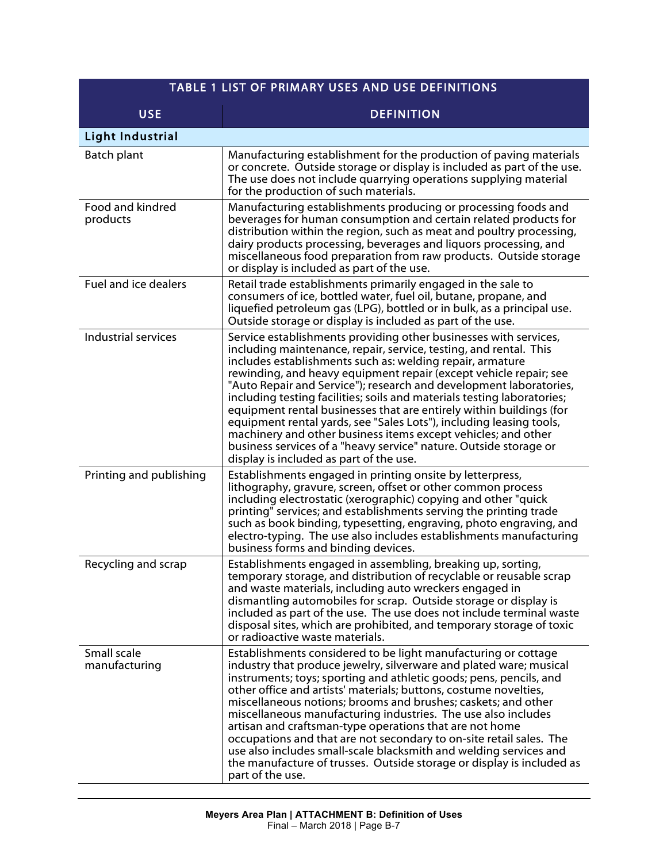| TABLE 1 LIST OF PRIMARY USES AND USE DEFINITIONS |                                                                                                                                                                                                                                                                                                                                                                                                                                                                                                                                                                                                                                                                                                                                                         |
|--------------------------------------------------|---------------------------------------------------------------------------------------------------------------------------------------------------------------------------------------------------------------------------------------------------------------------------------------------------------------------------------------------------------------------------------------------------------------------------------------------------------------------------------------------------------------------------------------------------------------------------------------------------------------------------------------------------------------------------------------------------------------------------------------------------------|
| <b>USE</b>                                       | <b>DEFINITION</b>                                                                                                                                                                                                                                                                                                                                                                                                                                                                                                                                                                                                                                                                                                                                       |
| <b>Light Industrial</b>                          |                                                                                                                                                                                                                                                                                                                                                                                                                                                                                                                                                                                                                                                                                                                                                         |
| Batch plant                                      | Manufacturing establishment for the production of paving materials<br>or concrete. Outside storage or display is included as part of the use.<br>The use does not include quarrying operations supplying material<br>for the production of such materials.                                                                                                                                                                                                                                                                                                                                                                                                                                                                                              |
| Food and kindred<br>products                     | Manufacturing establishments producing or processing foods and<br>beverages for human consumption and certain related products for<br>distribution within the region, such as meat and poultry processing,<br>dairy products processing, beverages and liquors processing, and<br>miscellaneous food preparation from raw products. Outside storage<br>or display is included as part of the use.                                                                                                                                                                                                                                                                                                                                                       |
| Fuel and ice dealers                             | Retail trade establishments primarily engaged in the sale to<br>consumers of ice, bottled water, fuel oil, butane, propane, and<br>liquefied petroleum gas (LPG), bottled or in bulk, as a principal use.<br>Outside storage or display is included as part of the use.                                                                                                                                                                                                                                                                                                                                                                                                                                                                                 |
| Industrial services                              | Service establishments providing other businesses with services,<br>including maintenance, repair, service, testing, and rental. This<br>includes establishments such as: welding repair, armature<br>rewinding, and heavy equipment repair (except vehicle repair; see<br>"Auto Repair and Service"); research and development laboratories,<br>including testing facilities; soils and materials testing laboratories;<br>equipment rental businesses that are entirely within buildings (for<br>equipment rental yards, see "Sales Lots"), including leasing tools,<br>machinery and other business items except vehicles; and other<br>business services of a "heavy service" nature. Outside storage or<br>display is included as part of the use. |
| Printing and publishing                          | Establishments engaged in printing onsite by letterpress,<br>lithography, gravure, screen, offset or other common process<br>including electrostatic (xerographic) copying and other "quick<br>printing" services; and establishments serving the printing trade<br>such as book binding, typesetting, engraving, photo engraving, and<br>electro-typing. The use also includes establishments manufacturing<br>business forms and binding devices.                                                                                                                                                                                                                                                                                                     |
| Recycling and scrap                              | Establishments engaged in assembling, breaking up, sorting,<br>temporary storage, and distribution of recyclable or reusable scrap<br>and waste materials, including auto wreckers engaged in<br>dismantling automobiles for scrap. Outside storage or display is<br>included as part of the use. The use does not include terminal waste<br>disposal sites, which are prohibited, and temporary storage of toxic<br>or radioactive waste materials.                                                                                                                                                                                                                                                                                                    |
| Small scale<br>manufacturing                     | Establishments considered to be light manufacturing or cottage<br>industry that produce jewelry, silverware and plated ware; musical<br>instruments; toys; sporting and athletic goods; pens, pencils, and<br>other office and artists' materials; buttons, costume novelties,<br>miscellaneous notions; brooms and brushes; caskets; and other<br>miscellaneous manufacturing industries. The use also includes<br>artisan and craftsman-type operations that are not home<br>occupations and that are not secondary to on-site retail sales. The<br>use also includes small-scale blacksmith and welding services and<br>the manufacture of trusses. Outside storage or display is included as<br>part of the use.                                    |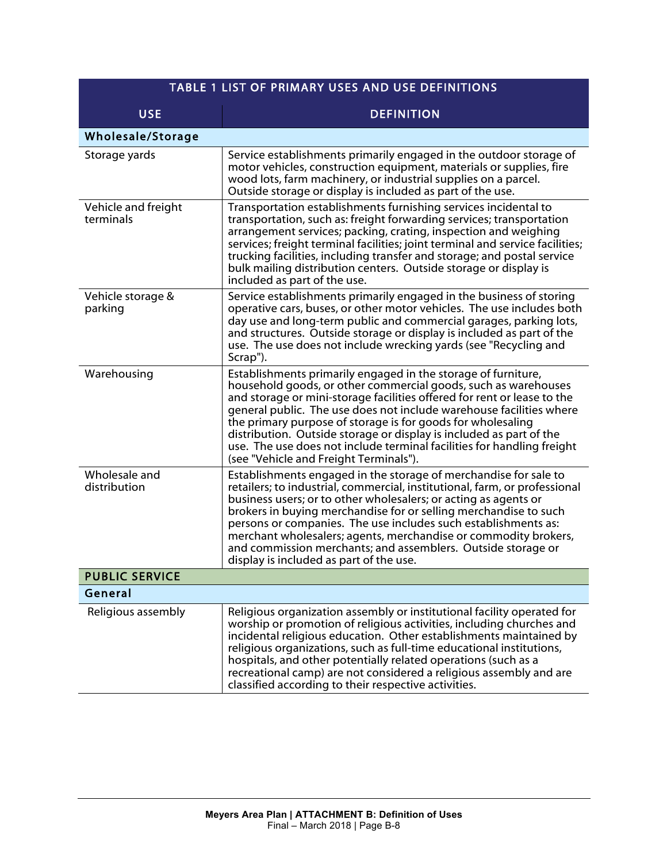| TABLE 1 LIST OF PRIMARY USES AND USE DEFINITIONS |                                                                                                                                                                                                                                                                                                                                                                                                                                                                                                                                             |
|--------------------------------------------------|---------------------------------------------------------------------------------------------------------------------------------------------------------------------------------------------------------------------------------------------------------------------------------------------------------------------------------------------------------------------------------------------------------------------------------------------------------------------------------------------------------------------------------------------|
| <b>USE</b>                                       | <b>DEFINITION</b>                                                                                                                                                                                                                                                                                                                                                                                                                                                                                                                           |
| Wholesale/Storage                                |                                                                                                                                                                                                                                                                                                                                                                                                                                                                                                                                             |
| Storage yards                                    | Service establishments primarily engaged in the outdoor storage of<br>motor vehicles, construction equipment, materials or supplies, fire<br>wood lots, farm machinery, or industrial supplies on a parcel.<br>Outside storage or display is included as part of the use.                                                                                                                                                                                                                                                                   |
| Vehicle and freight<br>terminals                 | Transportation establishments furnishing services incidental to<br>transportation, such as: freight forwarding services; transportation<br>arrangement services; packing, crating, inspection and weighing<br>services; freight terminal facilities; joint terminal and service facilities;<br>trucking facilities, including transfer and storage; and postal service<br>bulk mailing distribution centers. Outside storage or display is<br>included as part of the use.                                                                  |
| Vehicle storage &<br>parking                     | Service establishments primarily engaged in the business of storing<br>operative cars, buses, or other motor vehicles. The use includes both<br>day use and long-term public and commercial garages, parking lots,<br>and structures. Outside storage or display is included as part of the<br>use. The use does not include wrecking yards (see "Recycling and<br>Scrap").                                                                                                                                                                 |
| Warehousing                                      | Establishments primarily engaged in the storage of furniture,<br>household goods, or other commercial goods, such as warehouses<br>and storage or mini-storage facilities offered for rent or lease to the<br>general public. The use does not include warehouse facilities where<br>the primary purpose of storage is for goods for wholesaling<br>distribution. Outside storage or display is included as part of the<br>use. The use does not include terminal facilities for handling freight<br>(see "Vehicle and Freight Terminals"). |
| Wholesale and<br>distribution                    | Establishments engaged in the storage of merchandise for sale to<br>retailers; to industrial, commercial, institutional, farm, or professional<br>business users; or to other wholesalers; or acting as agents or<br>brokers in buying merchandise for or selling merchandise to such<br>persons or companies. The use includes such establishments as:<br>merchant wholesalers; agents, merchandise or commodity brokers,<br>and commission merchants; and assemblers. Outside storage or<br>display is included as part of the use.       |
| <b>PUBLIC SERVICE</b>                            |                                                                                                                                                                                                                                                                                                                                                                                                                                                                                                                                             |
| General                                          |                                                                                                                                                                                                                                                                                                                                                                                                                                                                                                                                             |
| Religious assembly                               | Religious organization assembly or institutional facility operated for<br>worship or promotion of religious activities, including churches and<br>incidental religious education. Other establishments maintained by<br>religious organizations, such as full-time educational institutions,<br>hospitals, and other potentially related operations (such as a<br>recreational camp) are not considered a religious assembly and are<br>classified according to their respective activities.                                                |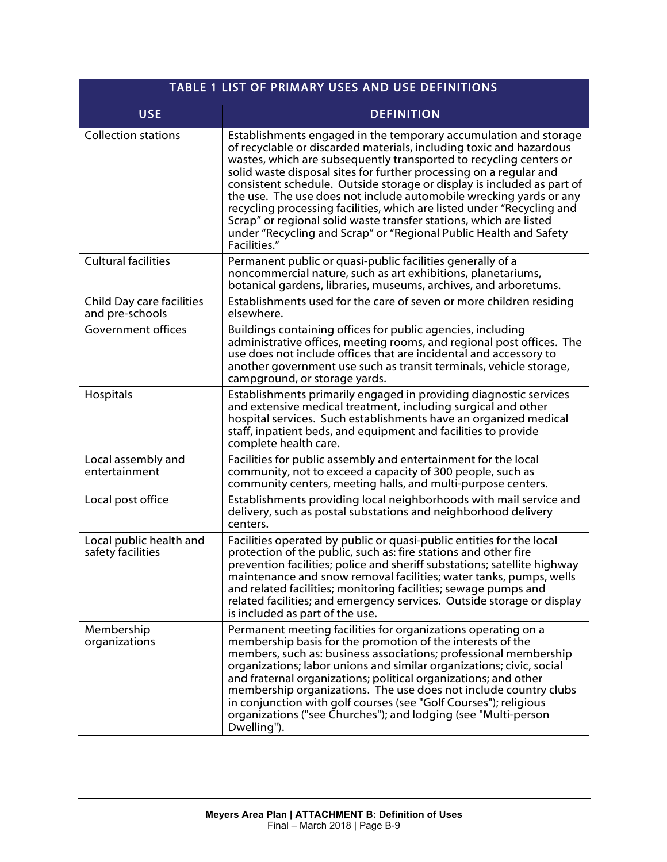| TABLE 1 LIST OF PRIMARY USES AND USE DEFINITIONS |                                                                                                                                                                                                                                                                                                                                                                                                                                                                                                                                                                                                                                                                          |
|--------------------------------------------------|--------------------------------------------------------------------------------------------------------------------------------------------------------------------------------------------------------------------------------------------------------------------------------------------------------------------------------------------------------------------------------------------------------------------------------------------------------------------------------------------------------------------------------------------------------------------------------------------------------------------------------------------------------------------------|
| <b>USE</b>                                       | <b>DEFINITION</b>                                                                                                                                                                                                                                                                                                                                                                                                                                                                                                                                                                                                                                                        |
| <b>Collection stations</b>                       | Establishments engaged in the temporary accumulation and storage<br>of recyclable or discarded materials, including toxic and hazardous<br>wastes, which are subsequently transported to recycling centers or<br>solid waste disposal sites for further processing on a regular and<br>consistent schedule. Outside storage or display is included as part of<br>the use. The use does not include automobile wrecking yards or any<br>recycling processing facilities, which are listed under "Recycling and<br>Scrap" or regional solid waste transfer stations, which are listed<br>under "Recycling and Scrap" or "Regional Public Health and Safety<br>Facilities." |
| <b>Cultural facilities</b>                       | Permanent public or quasi-public facilities generally of a<br>noncommercial nature, such as art exhibitions, planetariums,<br>botanical gardens, libraries, museums, archives, and arboretums.                                                                                                                                                                                                                                                                                                                                                                                                                                                                           |
| Child Day care facilities<br>and pre-schools     | Establishments used for the care of seven or more children residing<br>elsewhere.                                                                                                                                                                                                                                                                                                                                                                                                                                                                                                                                                                                        |
| Government offices                               | Buildings containing offices for public agencies, including<br>administrative offices, meeting rooms, and regional post offices. The<br>use does not include offices that are incidental and accessory to<br>another government use such as transit terminals, vehicle storage,<br>campground, or storage yards.                                                                                                                                                                                                                                                                                                                                                         |
| Hospitals                                        | Establishments primarily engaged in providing diagnostic services<br>and extensive medical treatment, including surgical and other<br>hospital services. Such establishments have an organized medical<br>staff, inpatient beds, and equipment and facilities to provide<br>complete health care.                                                                                                                                                                                                                                                                                                                                                                        |
| Local assembly and<br>entertainment              | Facilities for public assembly and entertainment for the local<br>community, not to exceed a capacity of 300 people, such as<br>community centers, meeting halls, and multi-purpose centers.                                                                                                                                                                                                                                                                                                                                                                                                                                                                             |
| Local post office                                | Establishments providing local neighborhoods with mail service and<br>delivery, such as postal substations and neighborhood delivery<br>centers.                                                                                                                                                                                                                                                                                                                                                                                                                                                                                                                         |
| Local public health and<br>safety facilities     | Facilities operated by public or quasi-public entities for the local<br>protection of the public, such as: fire stations and other fire<br>prevention facilities; police and sheriff substations; satellite highway<br>maintenance and snow removal facilities; water tanks, pumps, wells<br>and related facilities; monitoring facilities; sewage pumps and<br>related facilities; and emergency services. Outside storage or display<br>is included as part of the use.                                                                                                                                                                                                |
| Membership<br>organizations                      | Permanent meeting facilities for organizations operating on a<br>membership basis for the promotion of the interests of the<br>members, such as: business associations; professional membership<br>organizations; labor unions and similar organizations; civic, social<br>and fraternal organizations; political organizations; and other<br>membership organizations. The use does not include country clubs<br>in conjunction with golf courses (see "Golf Courses"); religious<br>organizations ("see Churches"); and lodging (see "Multi-person<br>Dwelling").                                                                                                      |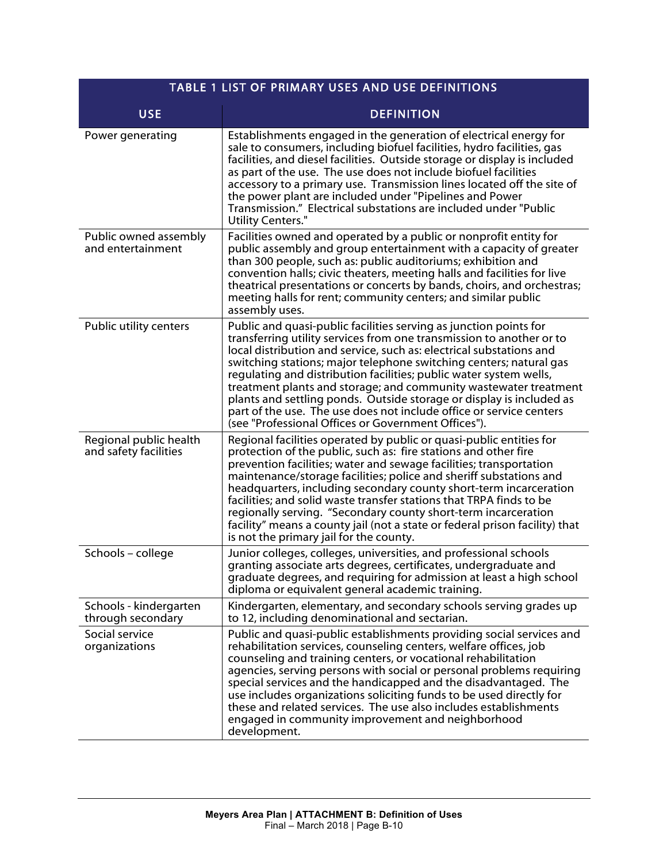| <b>TABLE 1 LIST OF PRIMARY USES AND USE DEFINITIONS</b> |                                                                                                                                                                                                                                                                                                                                                                                                                                                                                                                                                                                                                                        |
|---------------------------------------------------------|----------------------------------------------------------------------------------------------------------------------------------------------------------------------------------------------------------------------------------------------------------------------------------------------------------------------------------------------------------------------------------------------------------------------------------------------------------------------------------------------------------------------------------------------------------------------------------------------------------------------------------------|
| <b>USE</b>                                              | <b>DEFINITION</b>                                                                                                                                                                                                                                                                                                                                                                                                                                                                                                                                                                                                                      |
| Power generating                                        | Establishments engaged in the generation of electrical energy for<br>sale to consumers, including biofuel facilities, hydro facilities, gas<br>facilities, and diesel facilities. Outside storage or display is included<br>as part of the use. The use does not include biofuel facilities<br>accessory to a primary use. Transmission lines located off the site of<br>the power plant are included under "Pipelines and Power<br>Transmission." Electrical substations are included under "Public<br>Utility Centers."                                                                                                              |
| Public owned assembly<br>and entertainment              | Facilities owned and operated by a public or nonprofit entity for<br>public assembly and group entertainment with a capacity of greater<br>than 300 people, such as: public auditoriums; exhibition and<br>convention halls; civic theaters, meeting halls and facilities for live<br>theatrical presentations or concerts by bands, choirs, and orchestras;<br>meeting halls for rent; community centers; and similar public<br>assembly uses.                                                                                                                                                                                        |
| Public utility centers                                  | Public and quasi-public facilities serving as junction points for<br>transferring utility services from one transmission to another or to<br>local distribution and service, such as: electrical substations and<br>switching stations; major telephone switching centers; natural gas<br>regulating and distribution facilities; public water system wells,<br>treatment plants and storage; and community wastewater treatment<br>plants and settling ponds. Outside storage or display is included as<br>part of the use. The use does not include office or service centers<br>(see "Professional Offices or Government Offices"). |
| Regional public health<br>and safety facilities         | Regional facilities operated by public or quasi-public entities for<br>protection of the public, such as: fire stations and other fire<br>prevention facilities; water and sewage facilities; transportation<br>maintenance/storage facilities; police and sheriff substations and<br>headquarters, including secondary county short-term incarceration<br>facilities; and solid waste transfer stations that TRPA finds to be<br>regionally serving. "Secondary county short-term incarceration<br>facility" means a county jail (not a state or federal prison facility) that<br>is not the primary jail for the county.             |
| Schools - college                                       | Junior colleges, colleges, universities, and professional schools<br>granting associate arts degrees, certificates, undergraduate and<br>graduate degrees, and requiring for admission at least a high school<br>diploma or equivalent general academic training.                                                                                                                                                                                                                                                                                                                                                                      |
| Schools - kindergarten<br>through secondary             | Kindergarten, elementary, and secondary schools serving grades up<br>to 12, including denominational and sectarian.                                                                                                                                                                                                                                                                                                                                                                                                                                                                                                                    |
| Social service<br>organizations                         | Public and quasi-public establishments providing social services and<br>rehabilitation services, counseling centers, welfare offices, job<br>counseling and training centers, or vocational rehabilitation<br>agencies, serving persons with social or personal problems requiring<br>special services and the handicapped and the disadvantaged. The<br>use includes organizations soliciting funds to be used directly for<br>these and related services. The use also includes establishments<br>engaged in community improvement and neighborhood<br>development.                                                                  |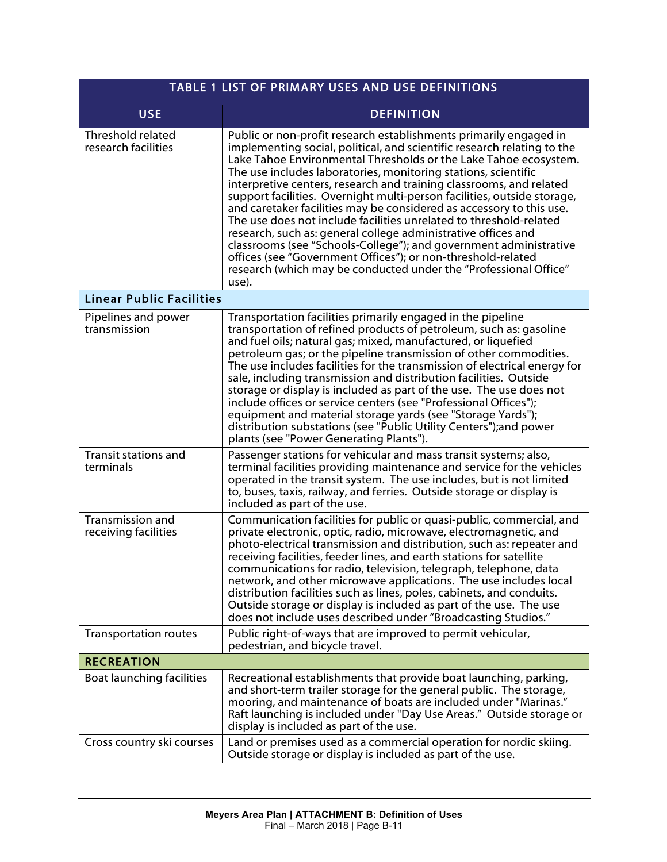| <b>TABLE 1 LIST OF PRIMARY USES AND USE DEFINITIONS</b> |                                                                                                                                                                                                                                                                                                                                                                                                                                                                                                                                                                                                                                                                                                                                                                                                                                                                       |
|---------------------------------------------------------|-----------------------------------------------------------------------------------------------------------------------------------------------------------------------------------------------------------------------------------------------------------------------------------------------------------------------------------------------------------------------------------------------------------------------------------------------------------------------------------------------------------------------------------------------------------------------------------------------------------------------------------------------------------------------------------------------------------------------------------------------------------------------------------------------------------------------------------------------------------------------|
| <b>USE</b>                                              | <b>DEFINITION</b>                                                                                                                                                                                                                                                                                                                                                                                                                                                                                                                                                                                                                                                                                                                                                                                                                                                     |
| Threshold related<br>research facilities                | Public or non-profit research establishments primarily engaged in<br>implementing social, political, and scientific research relating to the<br>Lake Tahoe Environmental Thresholds or the Lake Tahoe ecosystem.<br>The use includes laboratories, monitoring stations, scientific<br>interpretive centers, research and training classrooms, and related<br>support facilities. Overnight multi-person facilities, outside storage,<br>and caretaker facilities may be considered as accessory to this use.<br>The use does not include facilities unrelated to threshold-related<br>research, such as: general college administrative offices and<br>classrooms (see "Schools-College"); and government administrative<br>offices (see "Government Offices"); or non-threshold-related<br>research (which may be conducted under the "Professional Office"<br>use). |
| <b>Linear Public Facilities</b>                         |                                                                                                                                                                                                                                                                                                                                                                                                                                                                                                                                                                                                                                                                                                                                                                                                                                                                       |
| Pipelines and power<br>transmission                     | Transportation facilities primarily engaged in the pipeline<br>transportation of refined products of petroleum, such as: gasoline<br>and fuel oils; natural gas; mixed, manufactured, or liquefied<br>petroleum gas; or the pipeline transmission of other commodities.<br>The use includes facilities for the transmission of electrical energy for<br>sale, including transmission and distribution facilities. Outside<br>storage or display is included as part of the use. The use does not<br>include offices or service centers (see "Professional Offices");<br>equipment and material storage yards (see "Storage Yards");<br>distribution substations (see "Public Utility Centers"); and power<br>plants (see "Power Generating Plants").                                                                                                                  |
| <b>Transit stations and</b><br>terminals                | Passenger stations for vehicular and mass transit systems; also,<br>terminal facilities providing maintenance and service for the vehicles<br>operated in the transit system. The use includes, but is not limited<br>to, buses, taxis, railway, and ferries. Outside storage or display is<br>included as part of the use.                                                                                                                                                                                                                                                                                                                                                                                                                                                                                                                                           |
| Transmission and<br>receiving facilities                | Communication facilities for public or quasi-public, commercial, and<br>private electronic, optic, radio, microwave, electromagnetic, and<br>photo-electrical transmission and distribution, such as: repeater and<br>receiving facilities, feeder lines, and earth stations for satellite<br>communications for radio, television, telegraph, telephone, data<br>network, and other microwave applications. The use includes local<br>distribution facilities such as lines, poles, cabinets, and conduits.<br>Outside storage or display is included as part of the use. The use<br>does not include uses described under "Broadcasting Studios."                                                                                                                                                                                                                   |
| <b>Transportation routes</b>                            | Public right-of-ways that are improved to permit vehicular,<br>pedestrian, and bicycle travel.                                                                                                                                                                                                                                                                                                                                                                                                                                                                                                                                                                                                                                                                                                                                                                        |
| <b>RECREATION</b>                                       |                                                                                                                                                                                                                                                                                                                                                                                                                                                                                                                                                                                                                                                                                                                                                                                                                                                                       |
| Boat launching facilities                               | Recreational establishments that provide boat launching, parking,<br>and short-term trailer storage for the general public. The storage,<br>mooring, and maintenance of boats are included under "Marinas."<br>Raft launching is included under "Day Use Areas." Outside storage or<br>display is included as part of the use.                                                                                                                                                                                                                                                                                                                                                                                                                                                                                                                                        |
| Cross country ski courses                               | Land or premises used as a commercial operation for nordic skiing.<br>Outside storage or display is included as part of the use.                                                                                                                                                                                                                                                                                                                                                                                                                                                                                                                                                                                                                                                                                                                                      |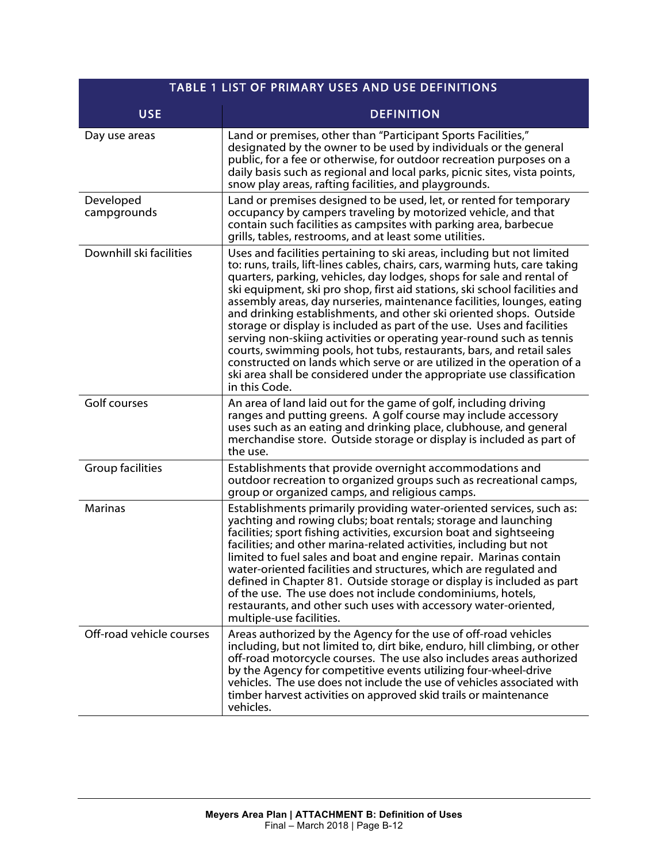| <b>TABLE 1 LIST OF PRIMARY USES AND USE DEFINITIONS</b> |                                                                                                                                                                                                                                                                                                                                                                                                                                                                                                                                                                                                                                                                                                                                                                                                                                                              |
|---------------------------------------------------------|--------------------------------------------------------------------------------------------------------------------------------------------------------------------------------------------------------------------------------------------------------------------------------------------------------------------------------------------------------------------------------------------------------------------------------------------------------------------------------------------------------------------------------------------------------------------------------------------------------------------------------------------------------------------------------------------------------------------------------------------------------------------------------------------------------------------------------------------------------------|
| <b>USE</b>                                              | <b>DEFINITION</b>                                                                                                                                                                                                                                                                                                                                                                                                                                                                                                                                                                                                                                                                                                                                                                                                                                            |
| Day use areas                                           | Land or premises, other than "Participant Sports Facilities,"<br>designated by the owner to be used by individuals or the general<br>public, for a fee or otherwise, for outdoor recreation purposes on a<br>daily basis such as regional and local parks, picnic sites, vista points,<br>snow play areas, rafting facilities, and playgrounds.                                                                                                                                                                                                                                                                                                                                                                                                                                                                                                              |
| Developed<br>campgrounds                                | Land or premises designed to be used, let, or rented for temporary<br>occupancy by campers traveling by motorized vehicle, and that<br>contain such facilities as campsites with parking area, barbecue<br>grills, tables, restrooms, and at least some utilities.                                                                                                                                                                                                                                                                                                                                                                                                                                                                                                                                                                                           |
| Downhill ski facilities                                 | Uses and facilities pertaining to ski areas, including but not limited<br>to: runs, trails, lift-lines cables, chairs, cars, warming huts, care taking<br>quarters, parking, vehicles, day lodges, shops for sale and rental of<br>ski equipment, ski pro shop, first aid stations, ski school facilities and<br>assembly areas, day nurseries, maintenance facilities, lounges, eating<br>and drinking establishments, and other ski oriented shops. Outside<br>storage or display is included as part of the use. Uses and facilities<br>serving non-skiing activities or operating year-round such as tennis<br>courts, swimming pools, hot tubs, restaurants, bars, and retail sales<br>constructed on lands which serve or are utilized in the operation of a<br>ski area shall be considered under the appropriate use classification<br>in this Code. |
| Golf courses                                            | An area of land laid out for the game of golf, including driving<br>ranges and putting greens. A golf course may include accessory<br>uses such as an eating and drinking place, clubhouse, and general<br>merchandise store. Outside storage or display is included as part of<br>the use.                                                                                                                                                                                                                                                                                                                                                                                                                                                                                                                                                                  |
| Group facilities                                        | Establishments that provide overnight accommodations and<br>outdoor recreation to organized groups such as recreational camps,<br>group or organized camps, and religious camps.                                                                                                                                                                                                                                                                                                                                                                                                                                                                                                                                                                                                                                                                             |
| <b>Marinas</b>                                          | Establishments primarily providing water-oriented services, such as:<br>yachting and rowing clubs; boat rentals; storage and launching<br>facilities; sport fishing activities, excursion boat and sightseeing<br>facilities; and other marina-related activities, including but not<br>limited to fuel sales and boat and engine repair. Marinas contain<br>water-oriented facilities and structures, which are regulated and<br>defined in Chapter 81. Outside storage or display is included as part<br>of the use. The use does not include condominiums, hotels,<br>restaurants, and other such uses with accessory water-oriented,<br>multiple-use facilities.                                                                                                                                                                                         |
| Off-road vehicle courses                                | Areas authorized by the Agency for the use of off-road vehicles<br>including, but not limited to, dirt bike, enduro, hill climbing, or other<br>off-road motorcycle courses. The use also includes areas authorized<br>by the Agency for competitive events utilizing four-wheel-drive<br>vehicles. The use does not include the use of vehicles associated with<br>timber harvest activities on approved skid trails or maintenance<br>vehicles.                                                                                                                                                                                                                                                                                                                                                                                                            |